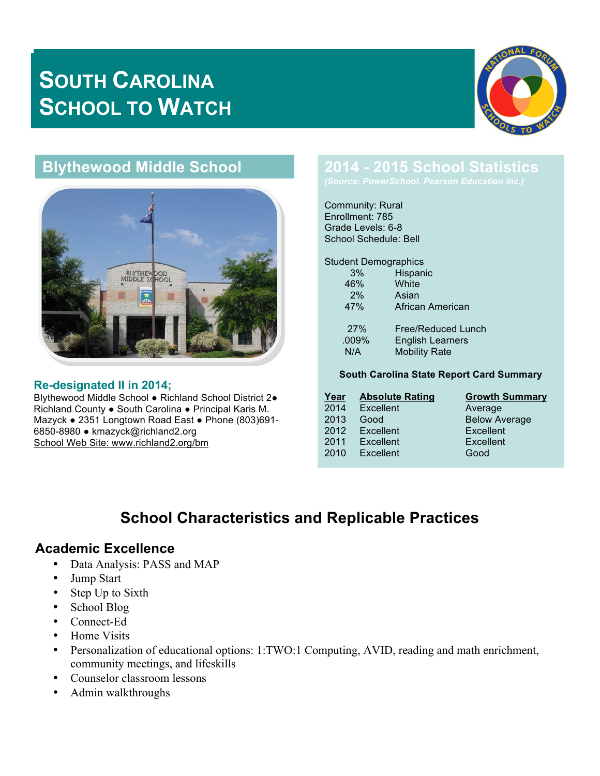# **SOUTH CAROLINA SCHOOL TO WATCH**



# **Blythewood Middle School**



#### **Re-designated II in 2014;**

Blythewood Middle School ● Richland School District 2● Richland County ● South Carolina ● Principal Karis M. Mazyck ● 2351 Longtown Road East ● Phone (803)691- 6850-8980 ● kmazyck@richland2.org School Web Site: www.richland2.org/bm

# **2014 - 2015 School Statistics**

Community: Rural Enrollment: 785 Grade Levels: 6-8 School Schedule: Bell

Student Demographics

| 3%    | Hispanic                |
|-------|-------------------------|
| 46%   | White                   |
| 2%    | Asian                   |
| 47%   | African American        |
| 27%   | Free/Reduced Lunch      |
| .009% | <b>English Learners</b> |
| N/A   | <b>Mobility Rate</b>    |
|       |                         |

#### **South Carolina State Report Card Summary**

| Year | <b>Absolute Rating</b> | <b>Growth Summary</b> |
|------|------------------------|-----------------------|
| 2014 | Excellent              | Average               |
| 2013 | Good                   | <b>Below Average</b>  |
| 2012 | Excellent              | Excellent             |
| 2011 | Excellent              | Excellent             |
| 2010 | Excellent              | Good                  |
|      |                        |                       |

# **School Characteristics and Replicable Practices**

#### **Academic Excellence**

- Data Analysis: PASS and MAP
- Jump Start
- Step Up to Sixth
- School Blog
- Connect-Ed
- Home Visits
- Personalization of educational options: 1:TWO:1 Computing, AVID, reading and math enrichment, community meetings, and lifeskills
- Counselor classroom lessons
- Admin walkthroughs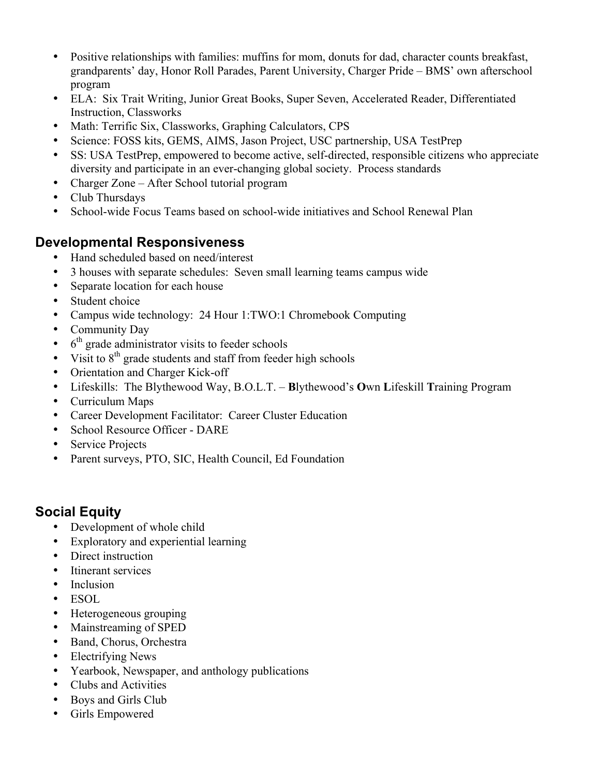- Positive relationships with families: muffins for mom, donuts for dad, character counts breakfast, grandparents' day, Honor Roll Parades, Parent University, Charger Pride – BMS' own afterschool program
- ELA: Six Trait Writing, Junior Great Books, Super Seven, Accelerated Reader, Differentiated Instruction, Classworks
- Math: Terrific Six, Classworks, Graphing Calculators, CPS
- Science: FOSS kits, GEMS, AIMS, Jason Project, USC partnership, USA TestPrep
- SS: USA TestPrep, empowered to become active, self-directed, responsible citizens who appreciate diversity and participate in an ever-changing global society. Process standards
- Charger Zone After School tutorial program
- Club Thursdays
- School-wide Focus Teams based on school-wide initiatives and School Renewal Plan

### **Developmental Responsiveness**

- Hand scheduled based on need/interest
- 3 houses with separate schedules: Seven small learning teams campus wide
- Separate location for each house
- Student choice
- Campus wide technology: 24 Hour 1:TWO:1 Chromebook Computing
- Community Day
- $\cdot$  6<sup>th</sup> grade administrator visits to feeder schools
- Visit to  $8<sup>th</sup>$  grade students and staff from feeder high schools
- Orientation and Charger Kick-off
- Lifeskills: The Blythewood Way, B.O.L.T. **B**lythewood's **O**wn **L**ifeskill **T**raining Program
- Curriculum Maps
- Career Development Facilitator: Career Cluster Education
- School Resource Officer DARE
- **Service Projects**
- Parent surveys, PTO, SIC, Health Council, Ed Foundation

## **Social Equity**

- Development of whole child
- Exploratory and experiential learning
- Direct instruction
- Itinerant services
- Inclusion
- ESOL
- Heterogeneous grouping
- Mainstreaming of SPED
- Band, Chorus, Orchestra
- Electrifying News
- Yearbook, Newspaper, and anthology publications
- Clubs and Activities
- Boys and Girls Club
- Girls Empowered